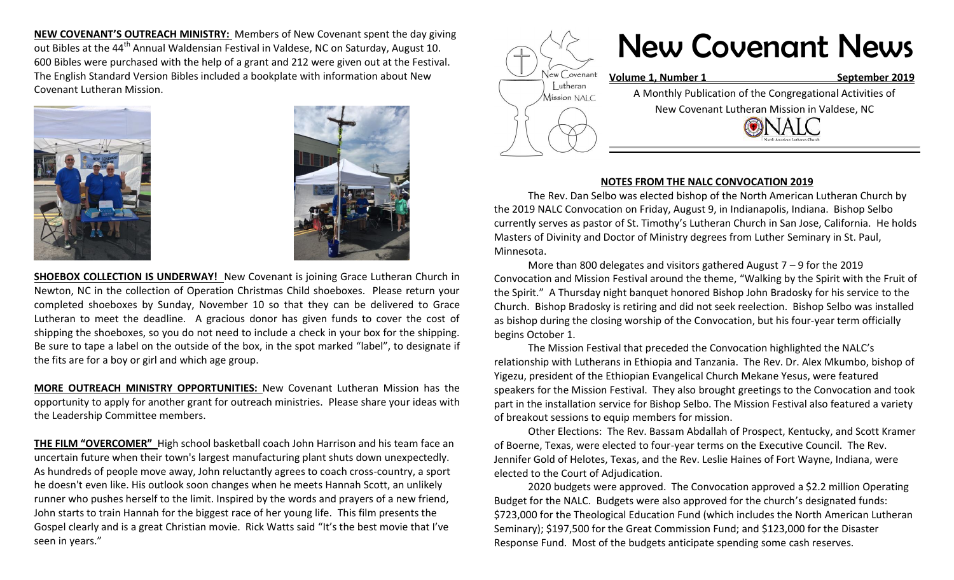**NEW COVENANT'S OUTREACH MINISTRY:** Members of New Covenant spent the day giving out Bibles at the 44<sup>th</sup> Annual Waldensian Festival in Valdese, NC on Saturday, August 10. 600 Bibles were purchased with the help of a grant and 212 were given out at the Festival. The English Standard Version Bibles included a bookplate with information about New Covenant Lutheran Mission.





**SHOEBOX COLLECTION IS UNDERWAY!** New Covenant is joining Grace Lutheran Church in Newton, NC in the collection of Operation Christmas Child shoeboxes. Please return your completed shoeboxes by Sunday, November 10 so that they can be delivered to Grace Lutheran to meet the deadline. A gracious donor has given funds to cover the cost of shipping the shoeboxes, so you do not need to include a check in your box for the shipping. Be sure to tape a label on the outside of the box, in the spot marked "label", to designate if the fits are for a boy or girl and which age group.

**MORE OUTREACH MINISTRY OPPORTUNITIES:** New Covenant Lutheran Mission has the opportunity to apply for another grant for outreach ministries. Please share your ideas with the Leadership Committee members.

**THE FILM "OVERCOMER"** High school basketball coach John Harrison and his team face an uncertain future when their town's largest manufacturing plant shuts down unexpectedly. As hundreds of people move away, John reluctantly agrees to coach cross-country, a sport he doesn't even like. His outlook soon changes when he meets Hannah Scott, an unlikely runner who pushes herself to the limit. Inspired by the words and prayers of a new friend, John starts to train Hannah for the biggest race of her young life. This film presents the Gospel clearly and is a great Christian movie. Rick Watts said "It's the best movie that I've seen in years."



## **NOTES FROM THE NALC CONVOCATION 2019**

The Rev. Dan Selbo was elected bishop of the North American Lutheran Church by the 2019 NALC Convocation on Friday, August 9, in Indianapolis, Indiana. Bishop Selbo currently serves as pastor of St. Timothy's Lutheran Church in San Jose, California. He holds Masters of Divinity and Doctor of Ministry degrees from Luther Seminary in St. Paul, Minnesota.

More than 800 delegates and visitors gathered August 7 – 9 for the 2019 Convocation and Mission Festival around the theme, "Walking by the Spirit with the Fruit of the Spirit." A Thursday night banquet honored Bishop John Bradosky for his service to the Church. Bishop Bradosky is retiring and did not seek reelection. Bishop Selbo was installed as bishop during the closing worship of the Convocation, but his four-year term officially begins October 1.

The Mission Festival that preceded the Convocation highlighted the NALC's relationship with Lutherans in Ethiopia and Tanzania. The Rev. Dr. Alex Mkumbo, bishop of Yigezu, president of the Ethiopian Evangelical Church Mekane Yesus, were featured speakers for the Mission Festival. They also brought greetings to the Convocation and took part in the installation service for Bishop Selbo. The Mission Festival also featured a variety of breakout sessions to equip members for mission.

Other Elections: The Rev. Bassam Abdallah of Prospect, Kentucky, and Scott Kramer of Boerne, Texas, were elected to four-year terms on the Executive Council. The Rev. Jennifer Gold of Helotes, Texas, and the Rev. Leslie Haines of Fort Wayne, Indiana, were elected to the Court of Adjudication.

2020 budgets were approved. The Convocation approved a \$2.2 million Operating Budget for the NALC. Budgets were also approved for the church's designated funds: \$723,000 for the Theological Education Fund (which includes the North American Lutheran Seminary); \$197,500 for the Great Commission Fund; and \$123,000 for the Disaster Response Fund. Most of the budgets anticipate spending some cash reserves.